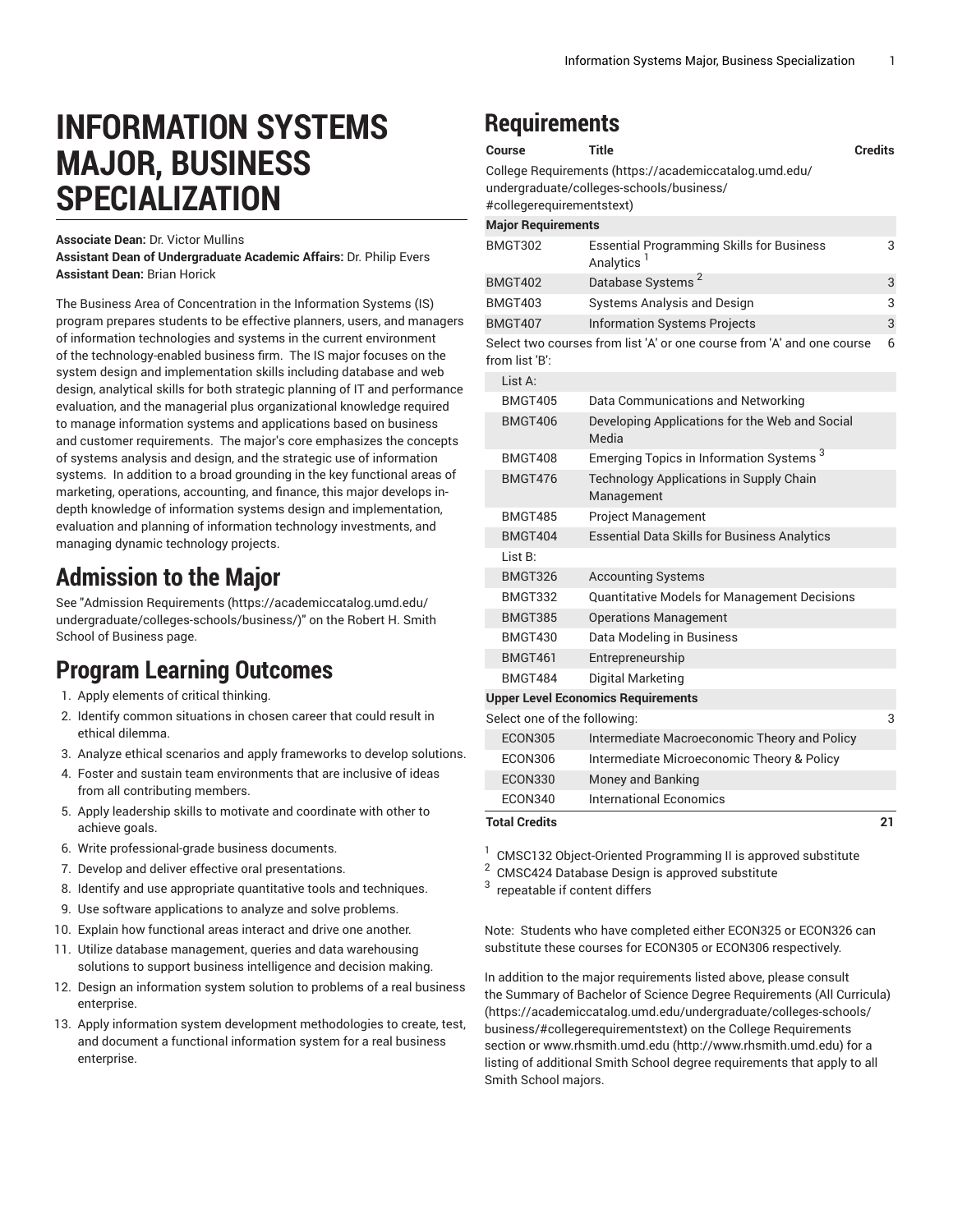# **INFORMATION SYSTEMS MAJOR, BUSINESS SPECIALIZATION**

**Associate Dean:** Dr. Victor Mullins

**Assistant Dean of Undergraduate Academic Affairs:** Dr. Philip Evers **Assistant Dean:** Brian Horick

The Business Area of Concentration in the Information Systems (IS) program prepares students to be effective planners, users, and managers of information technologies and systems in the current environment of the technology-enabled business firm. The IS major focuses on the system design and implementation skills including database and web design, analytical skills for both strategic planning of IT and performance evaluation, and the managerial plus organizational knowledge required to manage information systems and applications based on business and customer requirements. The major's core emphasizes the concepts of systems analysis and design, and the strategic use of information systems. In addition to a broad grounding in the key functional areas of marketing, operations, accounting, and finance, this major develops indepth knowledge of information systems design and implementation, evaluation and planning of information technology investments, and managing dynamic technology projects.

#### **Admission to the Major**

See "Admission [Requirements](https://academiccatalog.umd.edu/undergraduate/colleges-schools/business/) [\(https://academiccatalog.umd.edu/](https://academiccatalog.umd.edu/undergraduate/colleges-schools/business/) [undergraduate/colleges-schools/business/](https://academiccatalog.umd.edu/undergraduate/colleges-schools/business/))" on the Robert H. Smith School of Business page.

## **Program Learning Outcomes**

- 1. Apply elements of critical thinking.
- 2. Identify common situations in chosen career that could result in ethical dilemma.
- 3. Analyze ethical scenarios and apply frameworks to develop solutions.
- 4. Foster and sustain team environments that are inclusive of ideas from all contributing members.
- 5. Apply leadership skills to motivate and coordinate with other to achieve goals.
- 6. Write professional-grade business documents.
- 7. Develop and deliver effective oral presentations.
- 8. Identify and use appropriate quantitative tools and techniques.
- 9. Use software applications to analyze and solve problems.
- 10. Explain how functional areas interact and drive one another.
- 11. Utilize database management, queries and data warehousing solutions to support business intelligence and decision making.
- 12. Design an information system solution to problems of a real business enterprise.
- 13. Apply information system development methodologies to create, test, and document a functional information system for a real business enterprise.

### **Requirements**

| Course                                    | <b>Title</b>                                                                                       | <b>Credits</b> |
|-------------------------------------------|----------------------------------------------------------------------------------------------------|----------------|
| #collegerequirementstext)                 | College Requirements (https://academiccatalog.umd.edu/<br>undergraduate/colleges-schools/business/ |                |
| <b>Major Requirements</b>                 |                                                                                                    |                |
| BMGT302                                   | <b>Essential Programming Skills for Business</b><br>Analytics                                      | 3              |
| <b>BMGT402</b>                            | Database Systems <sup>2</sup>                                                                      | 3              |
| <b>BMGT403</b>                            | <b>Systems Analysis and Design</b>                                                                 | 3              |
| <b>BMGT407</b>                            | <b>Information Systems Projects</b>                                                                | 3              |
| from list 'B':                            | Select two courses from list 'A' or one course from 'A' and one course                             | 6              |
| List A:                                   |                                                                                                    |                |
| <b>BMGT405</b>                            | Data Communications and Networking                                                                 |                |
| <b>BMGT406</b>                            | Developing Applications for the Web and Social<br>Media                                            |                |
| BMGT408                                   | Emerging Topics in Information Systems <sup>3</sup>                                                |                |
| BMGT476                                   | Technology Applications in Supply Chain<br>Management                                              |                |
| <b>BMGT485</b>                            | Project Management                                                                                 |                |
| <b>BMGT404</b>                            | <b>Essential Data Skills for Business Analytics</b>                                                |                |
| List B:                                   |                                                                                                    |                |
| BMGT326                                   | <b>Accounting Systems</b>                                                                          |                |
| BMGT332                                   | Quantitative Models for Management Decisions                                                       |                |
| BMGT385                                   | <b>Operations Management</b>                                                                       |                |
| BMGT430                                   | Data Modeling in Business                                                                          |                |
| BMGT461                                   | Entrepreneurship                                                                                   |                |
| <b>BMGT484</b>                            | Digital Marketing                                                                                  |                |
| <b>Upper Level Economics Requirements</b> |                                                                                                    |                |
| Select one of the following:              |                                                                                                    | 3              |
| ECON305                                   | Intermediate Macroeconomic Theory and Policy                                                       |                |
| ECON306                                   | Intermediate Microeconomic Theory & Policy                                                         |                |
| ECON330                                   | Money and Banking                                                                                  |                |
| <b>ECON340</b>                            | <b>International Economics</b>                                                                     |                |
| <b>Total Credits</b>                      |                                                                                                    | 21             |

1 CMSC132 Object-Oriented Programming II is approved substitute

2 CMSC424 Database Design is approved substitute

3 repeatable if content differs

Note: Students who have completed either ECON325 or ECON326 can substitute these courses for ECON305 or ECON306 respectively.

In addition to the major requirements listed above, please consult the Summary of Bachelor of Science Degree [Requirements](https://academiccatalog.umd.edu/undergraduate/colleges-schools/business/#collegerequirementstext) (All Curricula) [\(https://academiccatalog.umd.edu/undergraduate/colleges-schools/](https://academiccatalog.umd.edu/undergraduate/colleges-schools/business/#collegerequirementstext) [business/#collegerequirementstext](https://academiccatalog.umd.edu/undergraduate/colleges-schools/business/#collegerequirementstext)) on the College Requirements section or [www.rhsmith.umd.edu](http://www.rhsmith.umd.edu) (<http://www.rhsmith.umd.edu>) for a listing of additional Smith School degree requirements that apply to all Smith School majors.